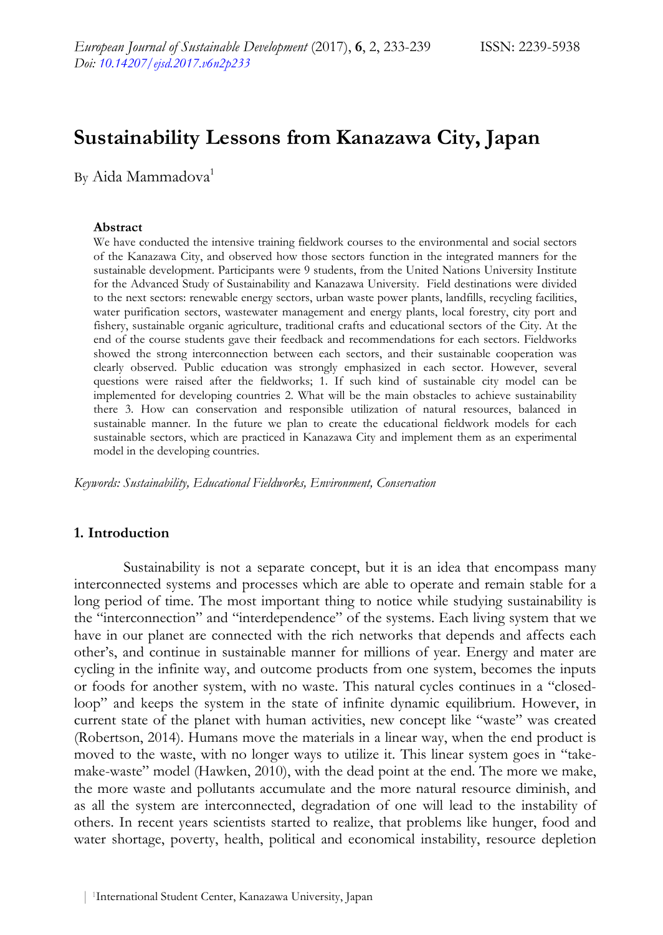# **Sustainability Lessons from Kanazawa City, Japan**

By Aida Mammadova<sup>1</sup>

#### **Abstract**

We have conducted the intensive training fieldwork courses to the environmental and social sectors of the Kanazawa City, and observed how those sectors function in the integrated manners for the sustainable development. Participants were 9 students, from the United Nations University Institute for the Advanced Study of Sustainability and Kanazawa University. Field destinations were divided to the next sectors: renewable energy sectors, urban waste power plants, landfills, recycling facilities, water purification sectors, wastewater management and energy plants, local forestry, city port and fishery, sustainable organic agriculture, traditional crafts and educational sectors of the City. At the end of the course students gave their feedback and recommendations for each sectors. Fieldworks showed the strong interconnection between each sectors, and their sustainable cooperation was clearly observed. Public education was strongly emphasized in each sector. However, several questions were raised after the fieldworks; 1. If such kind of sustainable city model can be implemented for developing countries 2. What will be the main obstacles to achieve sustainability there 3. How can conservation and responsible utilization of natural resources, balanced in sustainable manner. In the future we plan to create the educational fieldwork models for each sustainable sectors, which are practiced in Kanazawa City and implement them as an experimental model in the developing countries.

*Keywords: Sustainability, Educational Fieldworks, Environment, Conservation* 

#### **1. Introduction**

Sustainability is not a separate concept, but it is an idea that encompass many interconnected systems and processes which are able to operate and remain stable for a long period of time. The most important thing to notice while studying sustainability is the "interconnection" and "interdependence" of the systems. Each living system that we have in our planet are connected with the rich networks that depends and affects each other's, and continue in sustainable manner for millions of year. Energy and mater are cycling in the infinite way, and outcome products from one system, becomes the inputs or foods for another system, with no waste. This natural cycles continues in a "closedloop" and keeps the system in the state of infinite dynamic equilibrium. However, in current state of the planet with human activities, new concept like "waste" was created (Robertson, 2014). Humans move the materials in a linear way, when the end product is moved to the waste, with no longer ways to utilize it. This linear system goes in "takemake-waste" model (Hawken, 2010), with the dead point at the end. The more we make, the more waste and pollutants accumulate and the more natural resource diminish, and as all the system are interconnected, degradation of one will lead to the instability of others. In recent years scientists started to realize, that problems like hunger, food and water shortage, poverty, health, political and economical instability, resource depletion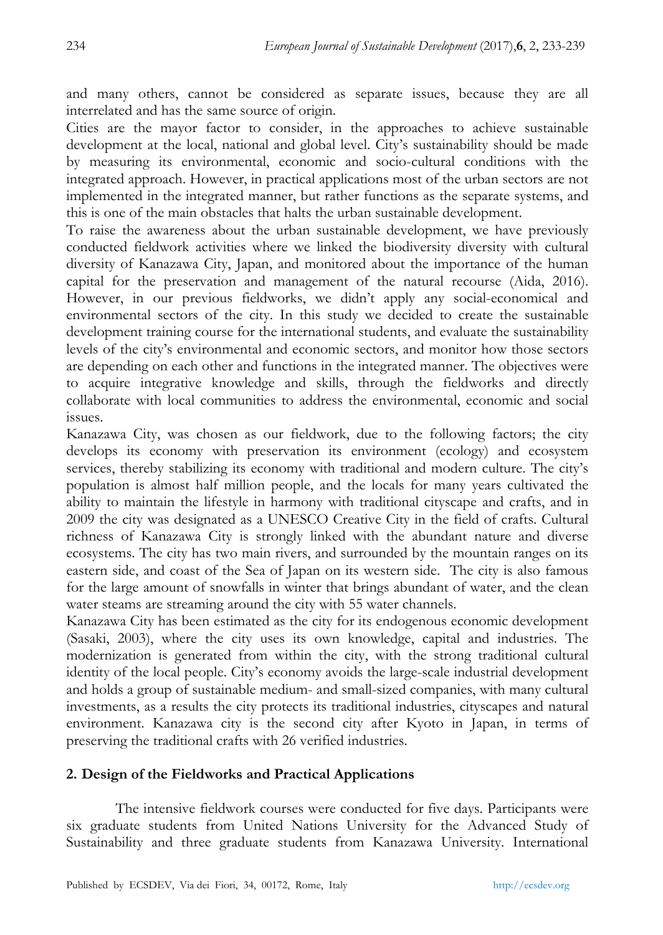and many others, cannot be considered as separate issues, because they are all interrelated and has the same source of origin.

Cities are the mayor factor to consider, in the approaches to achieve sustainable development at the local, national and global level. City's sustainability should be made by measuring its environmental, economic and socio-cultural conditions with the integrated approach. However, in practical applications most of the urban sectors are not implemented in the integrated manner, but rather functions as the separate systems, and this is one of the main obstacles that halts the urban sustainable development.

To raise the awareness about the urban sustainable development, we have previously conducted fieldwork activities where we linked the biodiversity diversity with cultural diversity of Kanazawa City, Japan, and monitored about the importance of the human capital for the preservation and management of the natural recourse (Aida, 2016). However, in our previous fieldworks, we didn't apply any social-economical and environmental sectors of the city. In this study we decided to create the sustainable development training course for the international students, and evaluate the sustainability levels of the city's environmental and economic sectors, and monitor how those sectors are depending on each other and functions in the integrated manner. The objectives were to acquire integrative knowledge and skills, through the fieldworks and directly collaborate with local communities to address the environmental, economic and social issues.

Kanazawa City, was chosen as our fieldwork, due to the following factors; the city develops its economy with preservation its environment (ecology) and ecosystem services, thereby stabilizing its economy with traditional and modern culture. The city's population is almost half million people, and the locals for many years cultivated the ability to maintain the lifestyle in harmony with traditional cityscape and crafts, and in 2009 the city was designated as a UNESCO Creative City in the field of crafts. Cultural richness of Kanazawa City is strongly linked with the abundant nature and diverse ecosystems. The city has two main rivers, and surrounded by the mountain ranges on its eastern side, and coast of the Sea of Japan on its western side. The city is also famous for the large amount of snowfalls in winter that brings abundant of water, and the clean water steams are streaming around the city with 55 water channels.

Kanazawa City has been estimated as the city for its endogenous economic development (Sasaki, 2003), where the city uses its own knowledge, capital and industries. The modernization is generated from within the city, with the strong traditional cultural identity of the local people. City's economy avoids the large-scale industrial development and holds a group of sustainable medium- and small-sized companies, with many cultural investments, as a results the city protects its traditional industries, cityscapes and natural environment. Kanazawa city is the second city after Kyoto in Japan, in terms of preserving the traditional crafts with 26 verified industries.

#### **2. Design of the Fieldworks and Practical Applications**

The intensive fieldwork courses were conducted for five days. Participants were six graduate students from United Nations University for the Advanced Study of Sustainability and three graduate students from Kanazawa University. International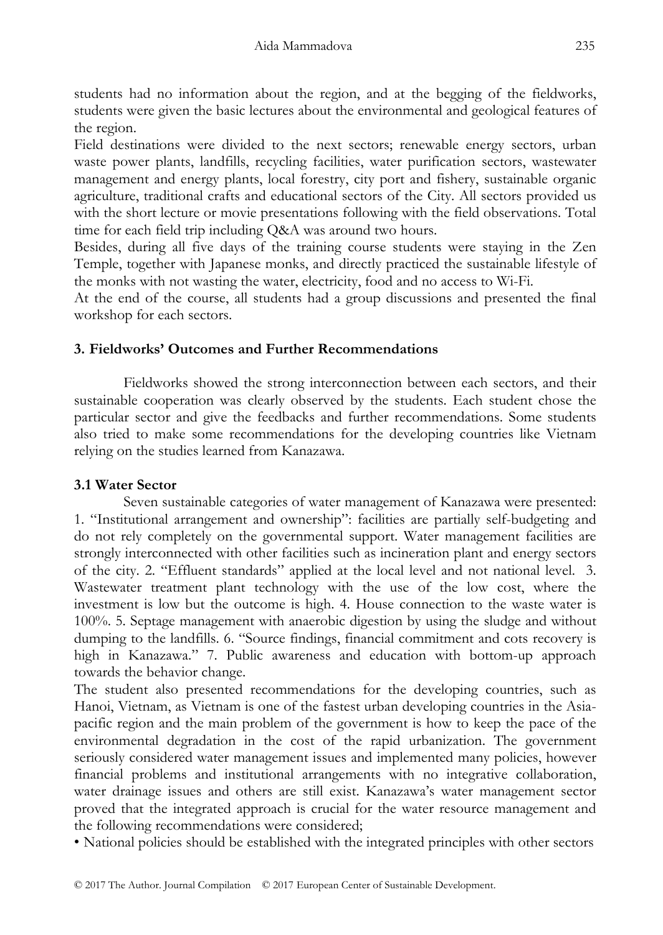students had no information about the region, and at the begging of the fieldworks, students were given the basic lectures about the environmental and geological features of the region.

Field destinations were divided to the next sectors; renewable energy sectors, urban waste power plants, landfills, recycling facilities, water purification sectors, wastewater management and energy plants, local forestry, city port and fishery, sustainable organic agriculture, traditional crafts and educational sectors of the City. All sectors provided us with the short lecture or movie presentations following with the field observations. Total time for each field trip including Q&A was around two hours.

Besides, during all five days of the training course students were staying in the Zen Temple, together with Japanese monks, and directly practiced the sustainable lifestyle of the monks with not wasting the water, electricity, food and no access to Wi-Fi.

At the end of the course, all students had a group discussions and presented the final workshop for each sectors.

#### **3. Fieldworks' Outcomes and Further Recommendations**

Fieldworks showed the strong interconnection between each sectors, and their sustainable cooperation was clearly observed by the students. Each student chose the particular sector and give the feedbacks and further recommendations. Some students also tried to make some recommendations for the developing countries like Vietnam relying on the studies learned from Kanazawa.

## **3.1 Water Sector**

Seven sustainable categories of water management of Kanazawa were presented: 1. "Institutional arrangement and ownership": facilities are partially self-budgeting and do not rely completely on the governmental support. Water management facilities are strongly interconnected with other facilities such as incineration plant and energy sectors of the city. 2. "Effluent standards" applied at the local level and not national level. 3. Wastewater treatment plant technology with the use of the low cost, where the investment is low but the outcome is high. 4. House connection to the waste water is 100%. 5. Septage management with anaerobic digestion by using the sludge and without dumping to the landfills. 6. "Source findings, financial commitment and cots recovery is high in Kanazawa." 7. Public awareness and education with bottom-up approach towards the behavior change.

The student also presented recommendations for the developing countries, such as Hanoi, Vietnam, as Vietnam is one of the fastest urban developing countries in the Asiapacific region and the main problem of the government is how to keep the pace of the environmental degradation in the cost of the rapid urbanization. The government seriously considered water management issues and implemented many policies, however financial problems and institutional arrangements with no integrative collaboration, water drainage issues and others are still exist. Kanazawa's water management sector proved that the integrated approach is crucial for the water resource management and the following recommendations were considered;

• National policies should be established with the integrated principles with other sectors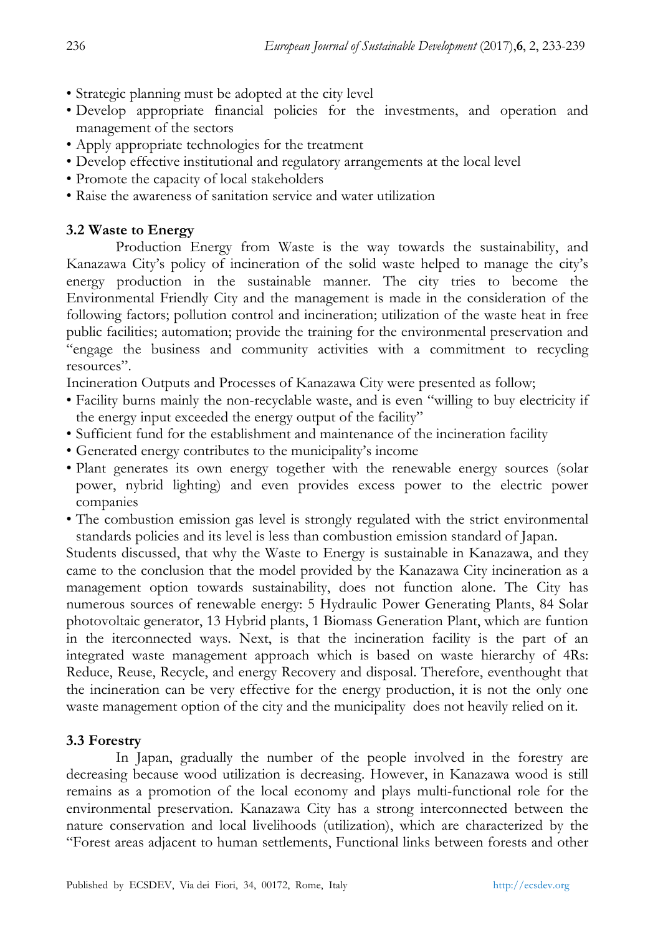- Strategic planning must be adopted at the city level
- Develop appropriate financial policies for the investments, and operation and management of the sectors
- Apply appropriate technologies for the treatment
- Develop effective institutional and regulatory arrangements at the local level
- Promote the capacity of local stakeholders
- Raise the awareness of sanitation service and water utilization

#### **3.2 Waste to Energy**

Production Energy from Waste is the way towards the sustainability, and Kanazawa City's policy of incineration of the solid waste helped to manage the city's energy production in the sustainable manner. The city tries to become the Environmental Friendly City and the management is made in the consideration of the following factors; pollution control and incineration; utilization of the waste heat in free public facilities; automation; provide the training for the environmental preservation and "engage the business and community activities with a commitment to recycling resources".

Incineration Outputs and Processes of Kanazawa City were presented as follow;

- Facility burns mainly the non-recyclable waste, and is even "willing to buy electricity if the energy input exceeded the energy output of the facility"
- Sufficient fund for the establishment and maintenance of the incineration facility
- Generated energy contributes to the municipality's income
- Plant generates its own energy together with the renewable energy sources (solar power, nybrid lighting) and even provides excess power to the electric power companies
- The combustion emission gas level is strongly regulated with the strict environmental standards policies and its level is less than combustion emission standard of Japan.

Students discussed, that why the Waste to Energy is sustainable in Kanazawa, and they came to the conclusion that the model provided by the Kanazawa City incineration as a management option towards sustainability, does not function alone. The City has numerous sources of renewable energy: 5 Hydraulic Power Generating Plants, 84 Solar photovoltaic generator, 13 Hybrid plants, 1 Biomass Generation Plant, which are funtion in the iterconnected ways. Next, is that the incineration facility is the part of an integrated waste management approach which is based on waste hierarchy of 4Rs: Reduce, Reuse, Recycle, and energy Recovery and disposal. Therefore, eventhought that the incineration can be very effective for the energy production, it is not the only one waste management option of the city and the municipality does not heavily relied on it.

#### **3.3 Forestry**

In Japan, gradually the number of the people involved in the forestry are decreasing because wood utilization is decreasing. However, in Kanazawa wood is still remains as a promotion of the local economy and plays multi-functional role for the environmental preservation. Kanazawa City has a strong interconnected between the nature conservation and local livelihoods (utilization), which are characterized by the "Forest areas adjacent to human settlements, Functional links between forests and other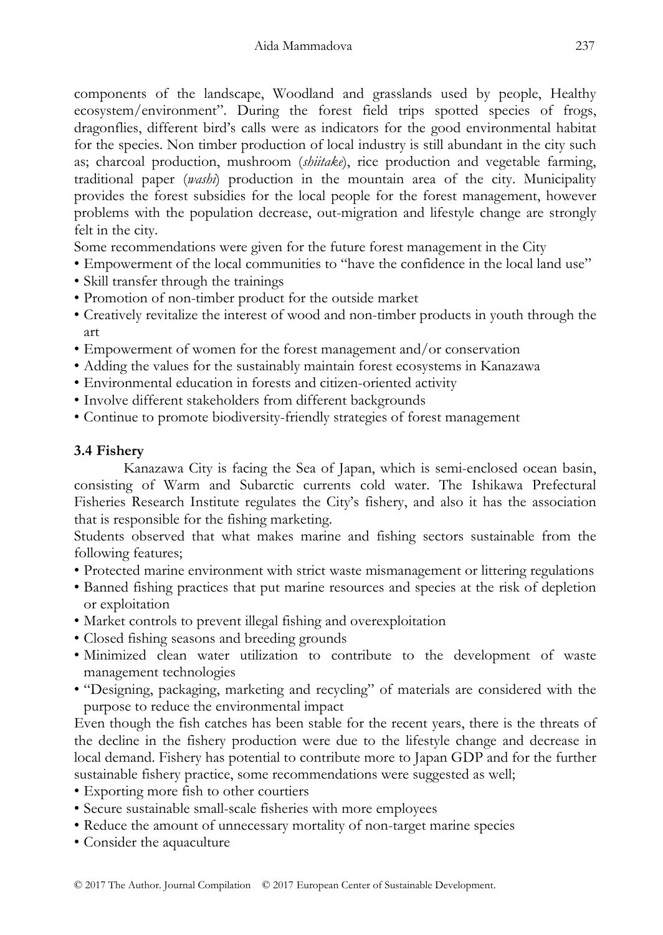components of the landscape, Woodland and grasslands used by people, Healthy ecosystem/environment". During the forest field trips spotted species of frogs, dragonflies, different bird's calls were as indicators for the good environmental habitat for the species. Non timber production of local industry is still abundant in the city such as; charcoal production, mushroom (*shiitake*), rice production and vegetable farming, traditional paper (*washi*) production in the mountain area of the city. Municipality provides the forest subsidies for the local people for the forest management, however problems with the population decrease, out-migration and lifestyle change are strongly felt in the city.

Some recommendations were given for the future forest management in the City

- Empowerment of the local communities to "have the confidence in the local land use"
- Skill transfer through the trainings
- Promotion of non-timber product for the outside market
- Creatively revitalize the interest of wood and non-timber products in youth through the art
- Empowerment of women for the forest management and/or conservation
- Adding the values for the sustainably maintain forest ecosystems in Kanazawa
- Environmental education in forests and citizen-oriented activity
- Involve different stakeholders from different backgrounds
- Continue to promote biodiversity-friendly strategies of forest management

#### **3.4 Fishery**

Kanazawa City is facing the Sea of Japan, which is semi-enclosed ocean basin, consisting of Warm and Subarctic currents cold water. The Ishikawa Prefectural Fisheries Research Institute regulates the City's fishery, and also it has the association that is responsible for the fishing marketing.

Students observed that what makes marine and fishing sectors sustainable from the following features;

- Protected marine environment with strict waste mismanagement or littering regulations
- Banned fishing practices that put marine resources and species at the risk of depletion or exploitation
- Market controls to prevent illegal fishing and overexploitation
- Closed fishing seasons and breeding grounds
- Minimized clean water utilization to contribute to the development of waste management technologies
- "Designing, packaging, marketing and recycling" of materials are considered with the purpose to reduce the environmental impact

Even though the fish catches has been stable for the recent years, there is the threats of the decline in the fishery production were due to the lifestyle change and decrease in local demand. Fishery has potential to contribute more to Japan GDP and for the further sustainable fishery practice, some recommendations were suggested as well;

- Exporting more fish to other courtiers
- Secure sustainable small-scale fisheries with more employees
- Reduce the amount of unnecessary mortality of non-target marine species
- Consider the aquaculture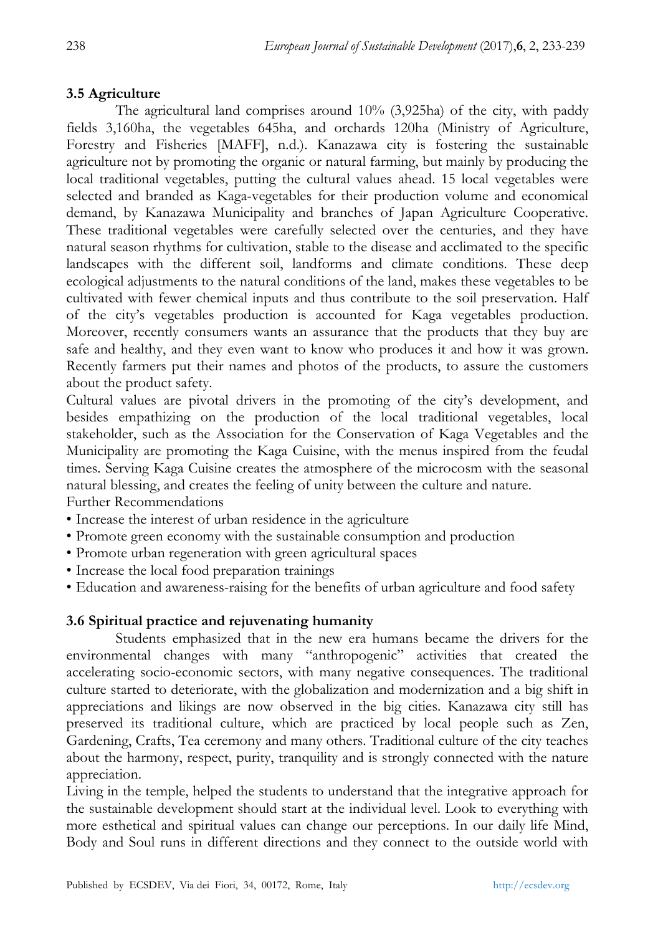#### **3.5 Agriculture**

The agricultural land comprises around 10% (3,925ha) of the city, with paddy fields 3,160ha, the vegetables 645ha, and orchards 120ha (Ministry of Agriculture, Forestry and Fisheries [MAFF], n.d.). Kanazawa city is fostering the sustainable agriculture not by promoting the organic or natural farming, but mainly by producing the local traditional vegetables, putting the cultural values ahead. 15 local vegetables were selected and branded as Kaga-vegetables for their production volume and economical demand, by Kanazawa Municipality and branches of Japan Agriculture Cooperative. These traditional vegetables were carefully selected over the centuries, and they have natural season rhythms for cultivation, stable to the disease and acclimated to the specific landscapes with the different soil, landforms and climate conditions. These deep ecological adjustments to the natural conditions of the land, makes these vegetables to be cultivated with fewer chemical inputs and thus contribute to the soil preservation. Half of the city's vegetables production is accounted for Kaga vegetables production. Moreover, recently consumers wants an assurance that the products that they buy are safe and healthy, and they even want to know who produces it and how it was grown. Recently farmers put their names and photos of the products, to assure the customers about the product safety.

Cultural values are pivotal drivers in the promoting of the city's development, and besides empathizing on the production of the local traditional vegetables, local stakeholder, such as the Association for the Conservation of Kaga Vegetables and the Municipality are promoting the Kaga Cuisine, with the menus inspired from the feudal times. Serving Kaga Cuisine creates the atmosphere of the microcosm with the seasonal natural blessing, and creates the feeling of unity between the culture and nature. Further Recommendations

- Increase the interest of urban residence in the agriculture
- Promote green economy with the sustainable consumption and production
- Promote urban regeneration with green agricultural spaces
- Increase the local food preparation trainings
- Education and awareness-raising for the benefits of urban agriculture and food safety

#### **3.6 Spiritual practice and rejuvenating humanity**

Students emphasized that in the new era humans became the drivers for the environmental changes with many "anthropogenic" activities that created the accelerating socio-economic sectors, with many negative consequences. The traditional culture started to deteriorate, with the globalization and modernization and a big shift in appreciations and likings are now observed in the big cities. Kanazawa city still has preserved its traditional culture, which are practiced by local people such as Zen, Gardening, Crafts, Tea ceremony and many others. Traditional culture of the city teaches about the harmony, respect, purity, tranquility and is strongly connected with the nature appreciation.

Living in the temple, helped the students to understand that the integrative approach for the sustainable development should start at the individual level. Look to everything with more esthetical and spiritual values can change our perceptions. In our daily life Mind, Body and Soul runs in different directions and they connect to the outside world with